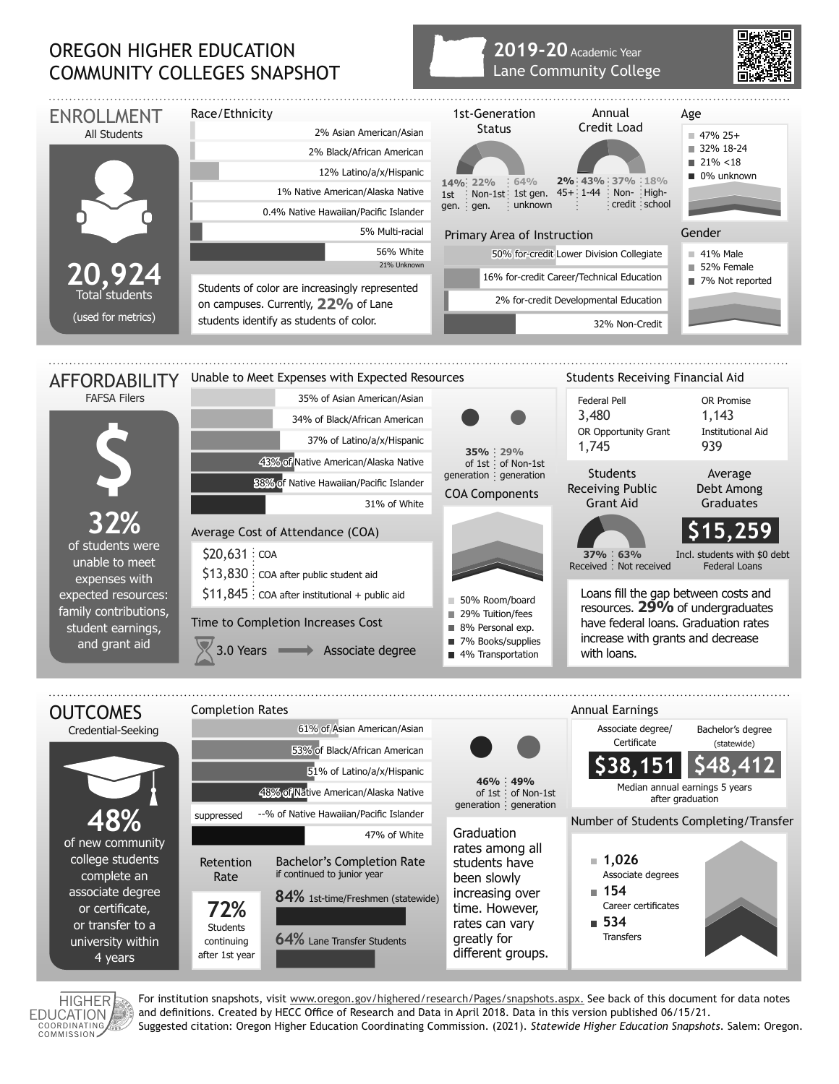## OREGON HIGHER EDUCATION COMMUNITY COLLEGES SNAPSHOT

## **2019-20** Academic Year Lane Community College



HIGHER **EDUCATION** COORDINATING

For institution snapshots, visit www.oregon.gov/highered/research/Pages/snapshots.aspx. See back of this document for data notes and definitions. Created by HECC Office of Research and Data in April 2018. Data in this version published 06/15/21. Suggested citation: Oregon Higher Education Coordinating Commission. (2021). *Statewide Higher Education Snapshots*. Salem: Oregon.